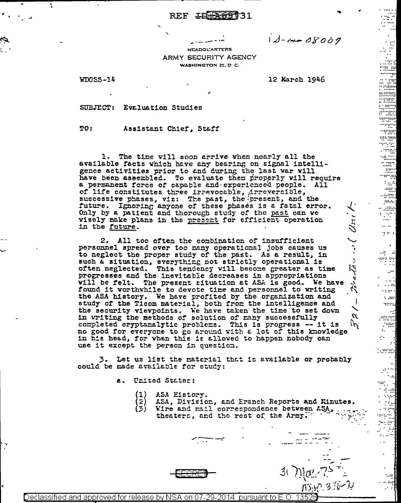## REF IDER69731

 $1d - 14 - 08007$ 

**HEADOL'ARTERS** ARMY SECURITY AGENCY WASHINGTON 25, D C.

WDGSS-14

¥

12 March 1946

a arr

 $\sim$  .....

arra

 $\boldsymbol{\eta}$ In.

SUBJECT: Evaluation Studies

TO: Assistant Chief, Staff

The time vill soon arrive when nearly all the  $1.$ available facts which have any bearing on signal intelligence activities prior to and during the last war will have been assembled. To evaluate them properly will require<br>a permanent force of capable and experienced people. All of life constitutes three irrevocable, Arreversible,<br>successive phases, viz: The past, the present, and the future. Ignoring anyone of these phases is a fatal error. Only by a patient and thorough study of the past can we visely make plans in the present for efficient operation in the future.

2. All too often the combination of insufficient personnel spread over too many operational jobs causes us to neglect the proper study of the past. As a result, in such a situation, everything not strictly operational is often neglected. This tendency will become greater as time progresses and the inevitable decreases in appropriations vill be felt. The present situation at ASA is good. We have found it worthwhile to devote time and personnel to writing the ASA history. We have profited by the organization and study of the Ticom material, both from the intelligence and the security viewpoints. We have taken the time to set down in writing the methods of solution of many successfully completed cryptanalytic problems. This is progress -- it is no good for everyone to go around with a lot of this knowledge in his head, for when this is allowed to happen nobody can use it except the person in question.

3. Let us list the material that is available or probably could be made available for study:

> United States:  $\mathbf{z}$ .

- ASA Eistory.
- (2)<br>(3) ASA, Division, and Eranch Reports and Kinutes.
	- Wire and mail correspondence between ASA,
	- theaters, and the rest of the Army."

Declassified and approved for release by NSA on 07-29-2014  $\,$  pursuant to E.O. 13526  $\,$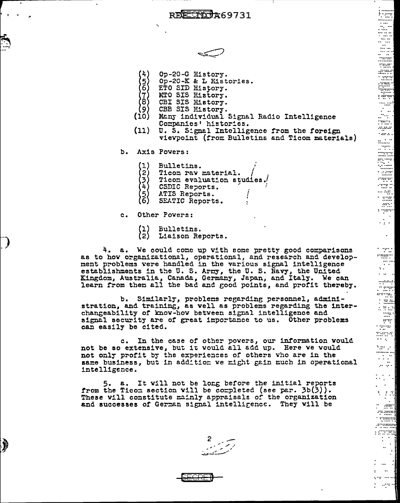REFECTO 769731



- Op-20-G History.
- }5)<br>(6) Op-20-K & L Histories.
- ETO SID History.
- $\left\langle \begin{smallmatrix} 7 \ 8 \end{smallmatrix} \right\rangle$ MTO SIS Ristory.
- CBI SIS History.
- (9) CBB SIS History.
- Many individual Signal Radio Intelligence  $(10)$ Companies' histories.
- (11) U. S. Signal Intelligence from the foreign viewpoint (from Bulletins and Ticom materials)
- Axis Powers:  $b.$ 
	- $(1)$ Bulletins.
	- $\mathbf{2}$ Ticom rav material.
	- $\left\langle \frac{1}{2} \right\rangle$ Ticon evaluation studies.
	- CSDIC Reports.
	- {5}<br>(6) ATIS Reports.
	- SEATIC Reports.
- Other Powers:  $\alpha$ .

À

 $(1)$ Bulletins.  $(2)$ Liaison Reports.

4. a. We could come up with some pretty good comparisons as to how organizational, operational, and research and development problems were handled in the various signal intelligence establishments in the U.S. Army, the U.S. Navy, the United<br>Kingdom, Australia, Canada, Germany, Japan, and Italy. We can<br>learn from them all the bad and good points, and profit thereby.

b. Similarly, problems regarding personnel, administration, and training, as well as problems regarding the interchangeability of know-how between signal intelligence and signal security are of great importance to us. Other problems can easily be cited.

c. In the case of other powers, our information would not be so extensive, but it would all add up. Here we would not only profit by the experiences of others who are in the same business, but in addition we might gain much in operational intelligence.

5. a. It will not be long before the initial reports from the Ticom section will be completed (see par.  $3b(3)$ ). These will constitute mainly appraisals of the organization and successes of German signal intelligence. They will be



E

. . .<br>:::::: ndo<br>Tuar,<br>Mini

 $\frac{1}{2}$ 

anganar

 $\sim 100$  km s  $^{-1}$ 

المتنبط

al agu

 $\sim$   $2000$ 

 $\sim 100$ 

 $\sim 100$ 

 $\begin{array}{ll} \mathcal{N}_{\mathcal{M}_{\mathcal{M}_{\mathcal{M}_{\mathcal{M}_{\mathcal{M}_{\mathcal{M}_{\mathcal{M}_{\mathcal{M}_{\mathcal{M}_{\mathcal{M}_{\mathcal{M}_{\mathcal{M}_{\mathcal{M}_{\mathcal{M}_{\mathcal{M}_{\mathcal{M}_{\mathcal{M}_{\mathcal{M}_{\mathcal{M}_{\mathcal{M}_{\mathcal{M}_{\mathcal{M}_{\mathcal{M}_{\mathcal{M}_{\mathcal{M}_{\mathcal{M}_{\mathcal{M}_{\mathcal{M}_{\mathcal{M}_{\mathcal{M}}}}}}}}}}}} \end{array}}} \right.} \end{array}$ 

المتعبب 

**SER** 

an di Salaman.<br>Kabupatèn

÷.

**San Le** 

÷

 $\mathbb{R}^{2}$ 

 $\mathcal{L}^{\mathcal{L}}(\mathcal{A})$  .

 $\begin{bmatrix} 1 & 1 \\ 1 & 1 \\ 1 & 1 \end{bmatrix}$ 

 $75.0000$ nuuri 1111111

Ŧ

… . . . ⊪

 $\mathbb{R}^{n}$ s ryann  $\mathbb{R}^2$